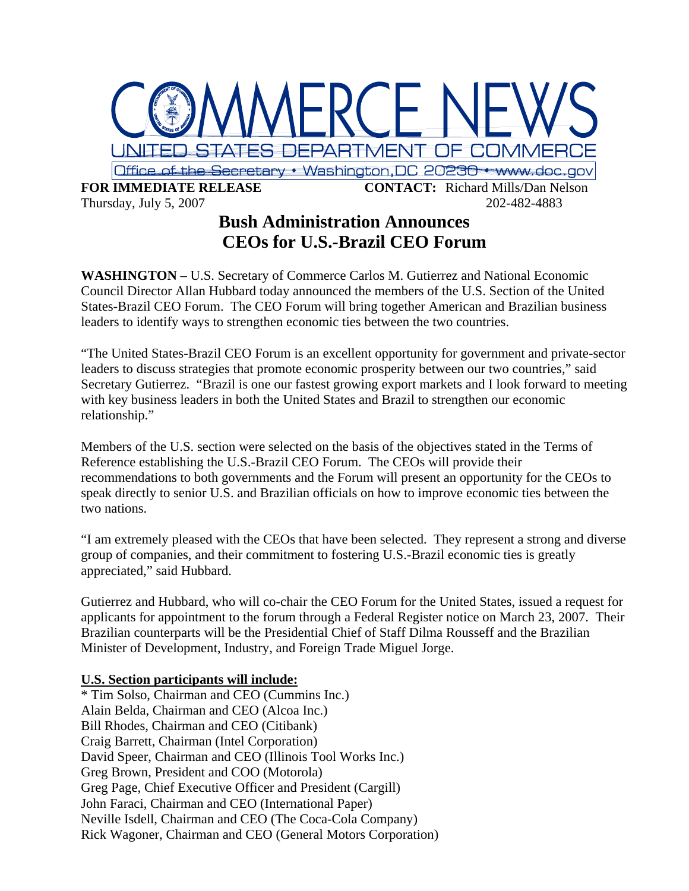

## **Bush Administration Announces CEOs for U.S.-Brazil CEO Forum**

**WASHINGTON** – U.S. Secretary of Commerce Carlos M. Gutierrez and National Economic Council Director Allan Hubbard today announced the members of the U.S. Section of the United States-Brazil CEO Forum. The CEO Forum will bring together American and Brazilian business leaders to identify ways to strengthen economic ties between the two countries.

"The United States-Brazil CEO Forum is an excellent opportunity for government and private-sector leaders to discuss strategies that promote economic prosperity between our two countries," said Secretary Gutierrez. "Brazil is one our fastest growing export markets and I look forward to meeting with key business leaders in both the United States and Brazil to strengthen our economic relationship."

Members of the U.S. section were selected on the basis of the objectives stated in the Terms of Reference establishing the U.S.-Brazil CEO Forum. The CEOs will provide their recommendations to both governments and the Forum will present an opportunity for the CEOs to speak directly to senior U.S. and Brazilian officials on how to improve economic ties between the two nations.

"I am extremely pleased with the CEOs that have been selected. They represent a strong and diverse group of companies, and their commitment to fostering U.S.-Brazil economic ties is greatly appreciated," said Hubbard.

Gutierrez and Hubbard, who will co-chair the CEO Forum for the United States, issued a request for applicants for appointment to the forum through a Federal Register notice on March 23, 2007. Their Brazilian counterparts will be the Presidential Chief of Staff Dilma Rousseff and the Brazilian Minister of Development, Industry, and Foreign Trade Miguel Jorge.

## **U.S. Section participants will include:**

\* Tim Solso, Chairman and CEO (Cummins Inc.) Alain Belda, Chairman and CEO (Alcoa Inc.) Bill Rhodes, Chairman and CEO (Citibank) Craig Barrett, Chairman (Intel Corporation) David Speer, Chairman and CEO (Illinois Tool Works Inc.) Greg Brown, President and COO (Motorola) Greg Page, Chief Executive Officer and President (Cargill) John Faraci, Chairman and CEO (International Paper) Neville Isdell, Chairman and CEO (The Coca-Cola Company) Rick Wagoner, Chairman and CEO (General Motors Corporation)